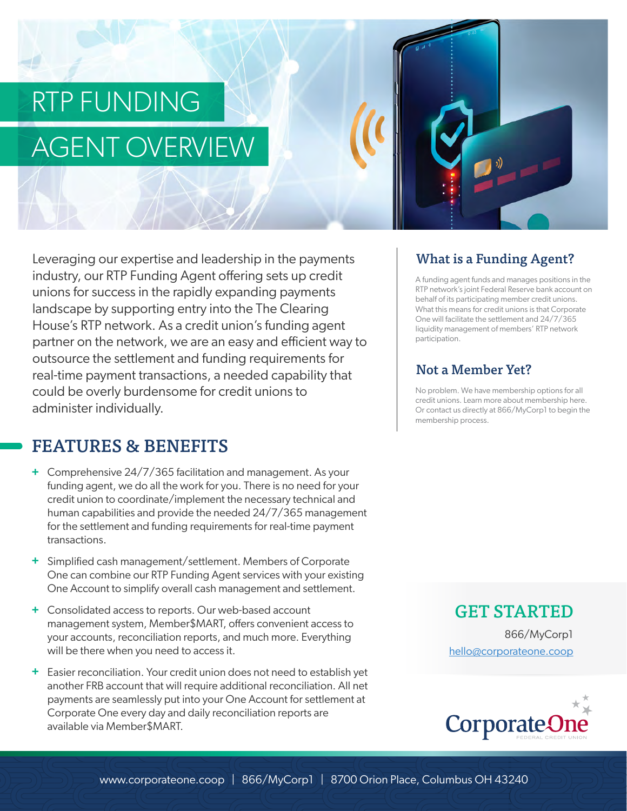# RTP FUNDING AGENT OVERVIEW

Leveraging our expertise and leadership in the payments industry, our RTP Funding Agent offering sets up credit unions for success in the rapidly expanding payments landscape by supporting entry into the The Clearing House's RTP network. As a credit union's funding agent partner on the network, we are an easy and efficient way to outsource the settlement and funding requirements for real-time payment transactions, a needed capability that could be overly burdensome for credit unions to administer individually.

# FEATURES & BENEFITS

- Comprehensive 24/7/365 facilitation and management. As your **+** funding agent, we do all the work for you. There is no need for your credit union to coordinate/implement the necessary technical and human capabilities and provide the needed 24/7/365 management for the settlement and funding requirements for real-time payment transactions.
- Simplified cash management/settlement. Members of Corporate **+** One can combine our RTP Funding Agent services with your existing One Account to simplify overall cash management and settlement.
- Consolidated access to reports. Our web-based account **+** management system, Member\$MART, offers convenient access to your accounts, reconciliation reports, and much more. Everything will be there when you need to access it.
- Easier reconciliation. Your credit union does not need to establish yet **+**another FRB account that will require additional reconciliation. All net payments are seamlessly put into your One Account for settlement at Corporate One every day and daily reconciliation reports are available via Member\$MART.

### What is a Funding Agent?

A funding agent funds and manages positions in the RTP network's joint Federal Reserve bank account on behalf of its participating member credit unions. What this means for credit unions is that Corporate One will facilitate the settlement and 24/7/365 liquidity management of members' RTP network participation.

#### Not a Member Yet?

No problem. We have membership options for all credit unions. Learn more about membership here. Or contact us directly at 866/MyCorp1 to begin the membership process.

> GET STARTED 866/MyCorp1 hello@corporateone.coop

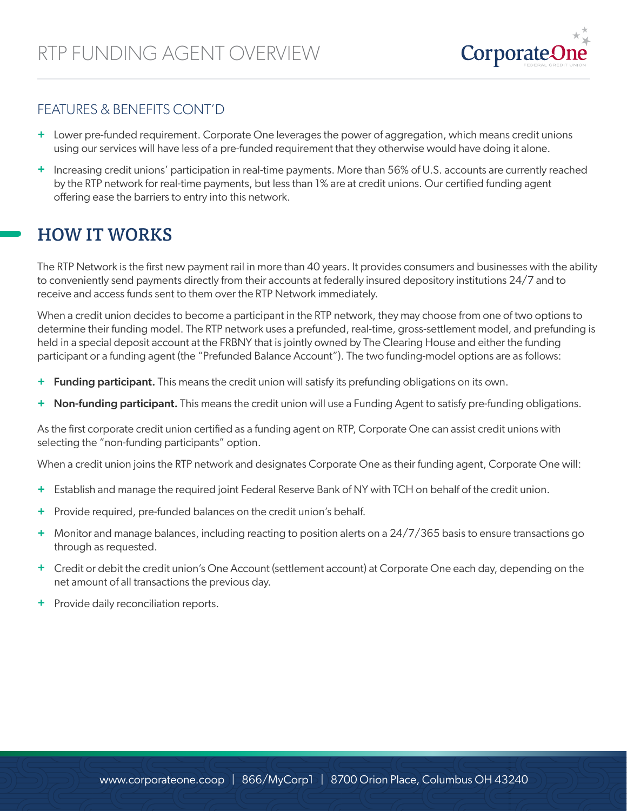

#### FEATURES & BENEFITS CONT'D

- **+** Lower pre-funded requirement. Corporate One leverages the power of aggregation, which means credit unions using our services will have less of a pre-funded requirement that they otherwise would have doing it alone.
- **+** Increasing credit unions' participation in real-time payments. More than 56% of U.S. accounts are currently reached by the RTP network for real-time payments, but less than 1% are at credit unions. Our certified funding agent offering ease the barriers to entry into this network.

## HOW IT WORKS

The RTP Network is the first new payment rail in more than 40 years. It provides consumers and businesses with the ability to conveniently send payments directly from their accounts at federally insured depository institutions 24/7 and to receive and access funds sent to them over the RTP Network immediately.

When a credit union decides to become a participant in the RTP network, they may choose from one of two options to determine their funding model. The RTP network uses a prefunded, real-time, gross-settlement model, and prefunding is held in a special deposit account at the FRBNY that is jointly owned by The Clearing House and either the funding participant or a funding agent (the "Prefunded Balance Account"). The two funding-model options are as follows:

- + Funding participant. This means the credit union will satisfy its prefunding obligations on its own.
- Non-funding participant. This means the credit union will use a Funding Agent to satisfy pre-funding obligations. **+**

As the first corporate credit union certified as a funding agent on RTP, Corporate One can assist credit unions with selecting the "non-funding participants" option.

When a credit union joins the RTP network and designates Corporate One as their funding agent, Corporate One will:

- Establish and manage the required joint Federal Reserve Bank of NY with TCH on behalf of the credit union. **+**
- Provide required, pre-funded balances on the credit union's behalf. **+**
- Monitor and manage balances, including reacting to position alerts on a 24/7/365 basis to ensure transactions go **+** through as requested.
- Credit or debit the credit union's One Account (settlement account) at Corporate One each day, depending on the **+** net amount of all transactions the previous day.
- Provide daily reconciliation reports. **+**